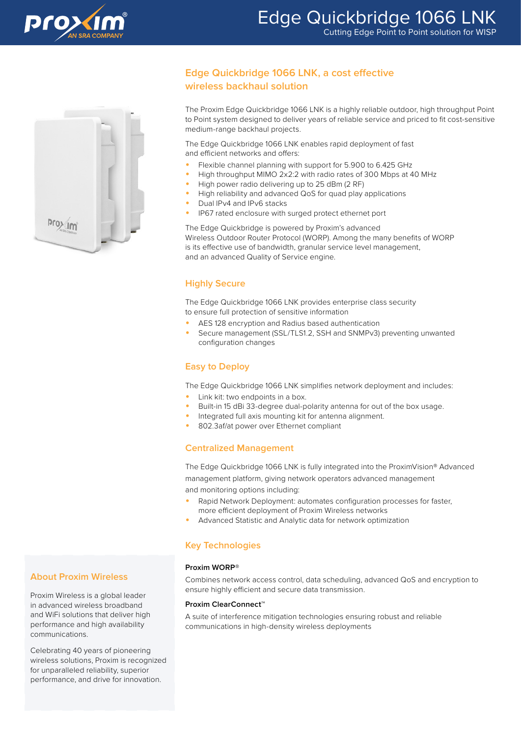



# **Edge Quickbridge 1066 LNK, a cost effective wireless backhaul solution**

The Proxim Edge Quickbridge 1066 LNK is a highly reliable outdoor, high throughput Point to Point system designed to deliver years of reliable service and priced to fit cost-sensitive medium-range backhaul projects.

The Edge Quickbridge 1066 LNK enables rapid deployment of fast and efficient networks and offers:

- Flexible channel planning with support for 5.900 to 6.425 GHz
- High throughput MIMO 2x2:2 with radio rates of 300 Mbps at 40 MHz
- High power radio delivering up to 25 dBm (2 RF)
- High reliability and advanced QoS for quad play applications
- Dual IPv4 and IPv6 stacks
- IP67 rated enclosure with surged protect ethernet port

The Edge Quickbridge is powered by Proxim's advanced Wireless Outdoor Router Protocol (WORP). Among the many benefits of WORP is its effective use of bandwidth, granular service level management, and an advanced Quality of Service engine.

## **Highly Secure**

The Edge Quickbridge 1066 LNK provides enterprise class security to ensure full protection of sensitive information

- AES 128 encryption and Radius based authentication
- Secure management (SSL/TLS1.2, SSH and SNMPv3) preventing unwanted configuration changes

## **Easy to Deploy**

The Edge Quickbridge 1066 LNK simplifies network deployment and includes:

- Link kit: two endpoints in a box.
- Built-in 15 dBi 33-degree dual-polarity antenna for out of the box usage.
- Integrated full axis mounting kit for antenna alignment.
- 802.3af/at power over Ethernet compliant

## **Centralized Management**

The Edge Quickbridge 1066 LNK is fully integrated into the ProximVision® Advanced management platform, giving network operators advanced management and monitoring options including:

- Rapid Network Deployment: automates configuration processes for faster, more efficient deployment of Proxim Wireless networks
- Advanced Statistic and Analytic data for network optimization

## **Key Technologies**

### **Proxim WORP®**

Combines network access control, data scheduling, advanced QoS and encryption to ensure highly efficient and secure data transmission.

#### **Proxim ClearConnect™**

A suite of interference mitigation technologies ensuring robust and reliable communications in high-density wireless deployments

## **About Proxim Wireless**

Proxim Wireless is a global leader in advanced wireless broadband and WiFi solutions that deliver high performance and high availability communications.

Celebrating 40 years of pioneering wireless solutions, Proxim is recognized for unparalleled reliability, superior performance, and drive for innovation.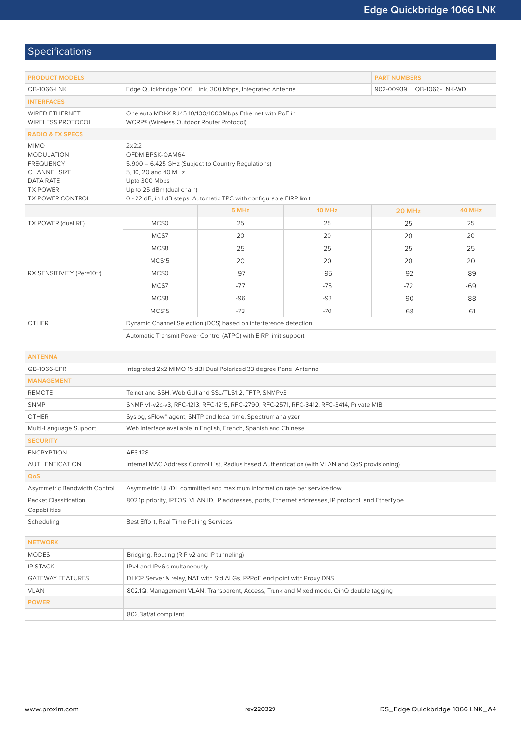# Specifications

| <b>PRODUCT MODELS</b>                                                                                                           | <b>PART NUMBERS</b>                                                                                                                                                                                                          |       |        |                             |        |  |  |
|---------------------------------------------------------------------------------------------------------------------------------|------------------------------------------------------------------------------------------------------------------------------------------------------------------------------------------------------------------------------|-------|--------|-----------------------------|--------|--|--|
| QB-1066-LNK                                                                                                                     | Edge Quickbridge 1066, Link, 300 Mbps, Integrated Antenna                                                                                                                                                                    |       |        | 902-00939<br>QB-1066-LNK-WD |        |  |  |
| <b>INTERFACES</b>                                                                                                               |                                                                                                                                                                                                                              |       |        |                             |        |  |  |
| <b>WIRED ETHERNET</b><br>WIRELESS PROTOCOL                                                                                      | One auto MDI-X RJ45 10/100/1000Mbps Ethernet with PoE in<br>WORP® (Wireless Outdoor Router Protocol)                                                                                                                         |       |        |                             |        |  |  |
| <b>RADIO &amp; TX SPECS</b>                                                                                                     |                                                                                                                                                                                                                              |       |        |                             |        |  |  |
| <b>MIMO</b><br><b>MODULATION</b><br><b>FREQUENCY</b><br>CHANNEL SIZE<br>DATA RATE<br><b>TX POWER</b><br><b>TX POWER CONTROL</b> | 2x2:2<br>OFDM BPSK-QAM64<br>5.900 - 6.425 GHz (Subject to Country Regulations)<br>5, 10, 20 and 40 MHz<br>Upto 300 Mbps<br>Up to 25 dBm (dual chain)<br>0 - 22 dB, in 1 dB steps. Automatic TPC with configurable EIRP limit |       |        |                             |        |  |  |
|                                                                                                                                 |                                                                                                                                                                                                                              | 5 MHz | 10 MHz | 20 MHz                      | 40 MHz |  |  |
| TX POWER (dual RF)                                                                                                              | MCS <sub>0</sub>                                                                                                                                                                                                             | 25    | 25     | 25                          | 25     |  |  |
|                                                                                                                                 | MCS7                                                                                                                                                                                                                         | 20    | 20     | 20                          | 20     |  |  |
|                                                                                                                                 | MCS8                                                                                                                                                                                                                         | 25    | 25     | 25                          | 25     |  |  |
|                                                                                                                                 | MCS15                                                                                                                                                                                                                        | 20    | 20     | 20                          | 20     |  |  |
| RX SENSITIVITY (Per=10-6)                                                                                                       | MCS <sub>0</sub>                                                                                                                                                                                                             | $-97$ | $-95$  | $-92$                       | -89    |  |  |
|                                                                                                                                 | MCS7                                                                                                                                                                                                                         | $-77$ | $-75$  | $-72$                       | $-69$  |  |  |
|                                                                                                                                 | MCS8                                                                                                                                                                                                                         | $-96$ | $-93$  | $-90$                       | $-88$  |  |  |
|                                                                                                                                 | MCS15                                                                                                                                                                                                                        | $-73$ | $-70$  | $-68$                       | $-61$  |  |  |
| <b>OTHER</b>                                                                                                                    | Dynamic Channel Selection (DCS) based on interference detection                                                                                                                                                              |       |        |                             |        |  |  |
|                                                                                                                                 | Automatic Transmit Power Control (ATPC) with EIRP limit support                                                                                                                                                              |       |        |                             |        |  |  |

| <b>ANTENNA</b>               |                                                                                                      |  |  |  |  |
|------------------------------|------------------------------------------------------------------------------------------------------|--|--|--|--|
| QB-1066-EPR                  | Integrated 2x2 MIMO 15 dBi Dual Polarized 33 degree Panel Antenna                                    |  |  |  |  |
| <b>MANAGEMENT</b>            |                                                                                                      |  |  |  |  |
| <b>REMOTE</b>                | Telnet and SSH, Web GUI and SSL/TLS1.2, TFTP, SNMPv3                                                 |  |  |  |  |
| <b>SNMP</b>                  | SNMP v1-v2c-v3, RFC-1213, RFC-1215, RFC-2790, RFC-2571, RFC-3412, RFC-3414, Private MIB              |  |  |  |  |
| <b>OTHER</b>                 | Syslog, sFlow™ agent, SNTP and local time, Spectrum analyzer                                         |  |  |  |  |
| Multi-Language Support       | Web Interface available in English, French, Spanish and Chinese                                      |  |  |  |  |
| <b>SECURITY</b>              |                                                                                                      |  |  |  |  |
| <b>FNCRYPTION</b>            | <b>AFS 128</b>                                                                                       |  |  |  |  |
| <b>AUTHENTICATION</b>        | Internal MAC Address Control List, Radius based Authentication (with VLAN and QoS provisioning)      |  |  |  |  |
| <b>QoS</b>                   |                                                                                                      |  |  |  |  |
| Asymmetric Bandwidth Control | Asymmetric UL/DL committed and maximum information rate per service flow                             |  |  |  |  |
| Packet Classification        | 802.1p priority, IPTOS, VLAN ID, IP addresses, ports, Ethernet addresses, IP protocol, and EtherType |  |  |  |  |
| Capabilities                 |                                                                                                      |  |  |  |  |
| Scheduling                   | Best Effort, Real Time Polling Services                                                              |  |  |  |  |
|                              |                                                                                                      |  |  |  |  |
| <b>NETWORK</b>               |                                                                                                      |  |  |  |  |
| <b>MODES</b>                 | Bridging, Routing (RIP v2 and IP tunneling)                                                          |  |  |  |  |
|                              |                                                                                                      |  |  |  |  |

| <b>MODES</b>            | Bridging, Routing (RIP v2 and IP tunneling)                                             |
|-------------------------|-----------------------------------------------------------------------------------------|
| <b>IP STACK</b>         | IPv4 and IPv6 simultaneously                                                            |
| <b>GATEWAY FEATURES</b> | DHCP Server & relay, NAT with Std ALGs, PPPoE end point with Proxy DNS                  |
| <b>VLAN</b>             | 802.1Q: Management VLAN. Transparent, Access, Trunk and Mixed mode. QinQ double tagging |
| <b>POWER</b>            |                                                                                         |
|                         | 802.3af/at compliant                                                                    |